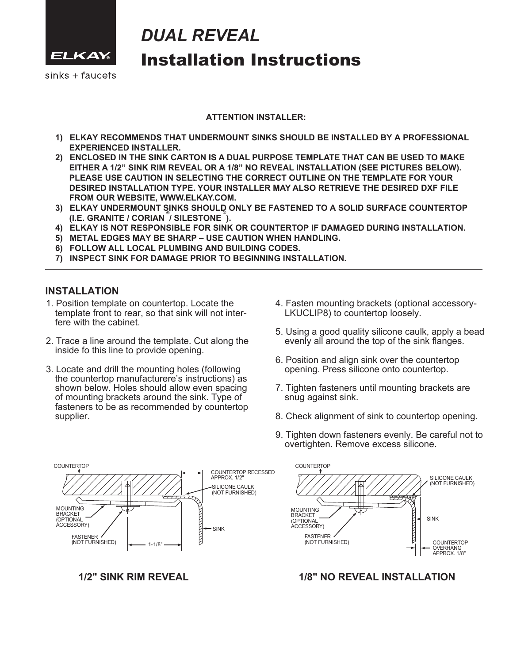

 $sinks + faucets$ 

# Installation Instructions *DUAL REVEAL*

#### **ATTENTION INSTALLER:**

- **1) ELKAY RECOMMENDS THAT UNDERMOUNT SINKS SHOULD BE INSTALLED BY A PROFESSIONAL EXPERIENCED INSTALLER.**
- **2) ENCLOSED IN THE SINK CARTON IS A DUAL PURPOSE TEMPLATE THAT CAN BE USED TO MAKE EITHER A 1/2" SINK RIM REVEAL OR A 1/8" NO REVEAL INSTALLATION (SEE PICTURES BELOW). PLEASE USE CAUTION IN SELECTING THE CORRECT OUTLINE ON THE TEMPLATE FOR YOUR DESIRED INSTALLATION TYPE. YOUR INSTALLER MAY ALSO RETRIEVE THE DESIRED DXF FILE FROM OUR WEBSITE, WWW.ELKAY.COM.**
- **3) ELKAY UNDERMOUNT SINKS SHOULD ONLY BE FASTENED TO A SOLID SURFACE COUNTERTOP**  $\hat{P}$  (I.E. GRANITE / CORIAN<sup>®</sup>/ SILESTONE<sup>®</sup>).
- **4) ELKAY IS NOT RESPONSIBLE FOR SINK OR COUNTERTOP IF DAMAGED DURING INSTALLATION.**
- **5) METAL EDGES MAY BE SHARP USE CAUTION WHEN HANDLING.**
- **6) FOLLOW ALL LOCAL PLUMBING AND BUILDING CODES.**
- **7) INSPECT SINK FOR DAMAGE PRIOR TO BEGINNING INSTALLATION.**

# **INSTALLATION**

- 1. Position template on countertop. Locate the template front to rear, so that sink will not interfere with the cabinet.
- 2. Trace a line around the template. Cut along the inside fo this line to provide opening.
- 3. Locate and drill the mounting holes (following the countertop manufacturere's instructions) as shown below. Holes should allow even spacing of mounting brackets around the sink. Type of fasteners to be as recommended by countertop supplier.
- 4. Fasten mounting brackets (optional accessory-LKUCLIP8) to countertop loosely.
- 5. Using a good quality silicone caulk, apply a bead evenly all around the top of the sink flanges.
- 6. Position and align sink over the countertop opening. Press silicone onto countertop.
- 7. Tighten fasteners until mounting brackets are snug against sink.
- 8. Check alignment of sink to countertop opening.
- 9. Tighten down fasteners evenly. Be careful not to overtighten. Remove excess silicone.





# **1/2" SINK RIM REVEAL 1/8" NO REVEAL INSTALLATION**